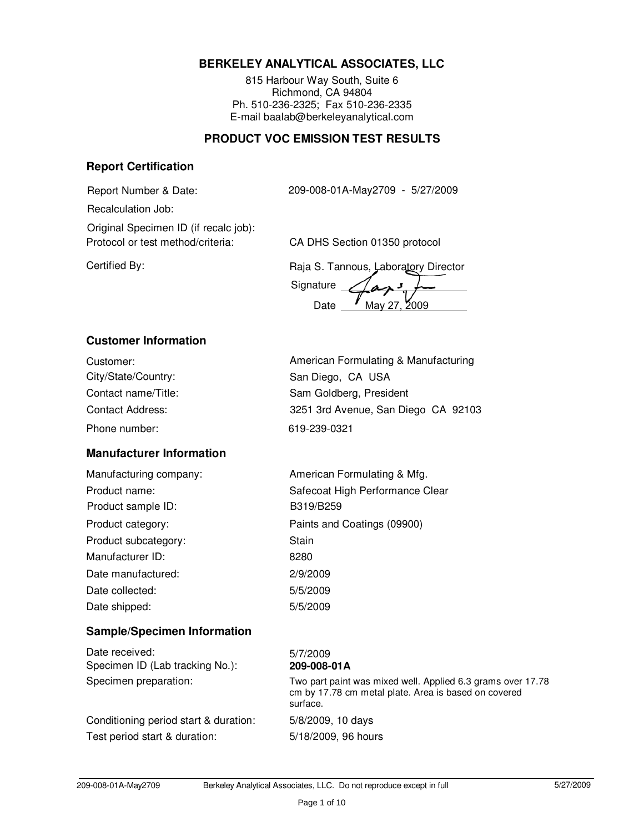# **BERKELEY ANALYTICAL ASSOCIATES, LLC**

815 Harbour Way South, Suite 6 Richmond, CA 94804 Ph. 510-236-2325; Fax 510-236-2335 E-mail baalab@berkeleyanalytical.com

### **PRODUCT VOC EMISSION TEST RESULTS**

#### **Report Certification**

Report Number & Date: 209-008-01A-May2709 - 5/27/2009

Recalculation Job:

Protocol or test method/criteria: CA DHS Section 01350 protocol Original Specimen ID (if recalc job):

Certified By: Certified By: Certified By: Certified By: Certified By:

Signature Date May 27, 2009

# **Customer Information**

| Customer:           |
|---------------------|
| City/State/Country: |
| Contact name/Title: |
| Contact Address:    |
| Phone number:       |

# **Manufacturer Information**

Manufacturing company: Product name: Product category: Product subcategory: Manufacturer ID: Date manufactured: Date collected: Date shipped: Product sample ID:

American Formulating & Manufacturing San Diego, CA USA Sam Goldberg, President Phone number: 619-239-0321 3251 3rd Avenue, San Diego CA 92103

| American Formulating & Mfg.     |
|---------------------------------|
| Safecoat High Performance Clear |
| B319/B259                       |
| Paints and Coatings (09900)     |
| Stain                           |
| 8280                            |
| 2/9/2009                        |
| 5/5/2009                        |
| 5/5/2009                        |

# **Sample/Specimen Information**

| Date received:                  |
|---------------------------------|
| Specimen ID (Lab tracking No.): |
| Specimen preparation:           |

Conditioning period start & duration: 5/8/2009, 10 days Test period start & duration: 5/18/2009, 96 hours

#### $5/7/2009$ Specimen ID (Lab tracking No.): **209-008-01A**

Two part paint was mixed well. Applied 6.3 grams over 17.78 cm by 17.78 cm metal plate. Area is based on covered surface.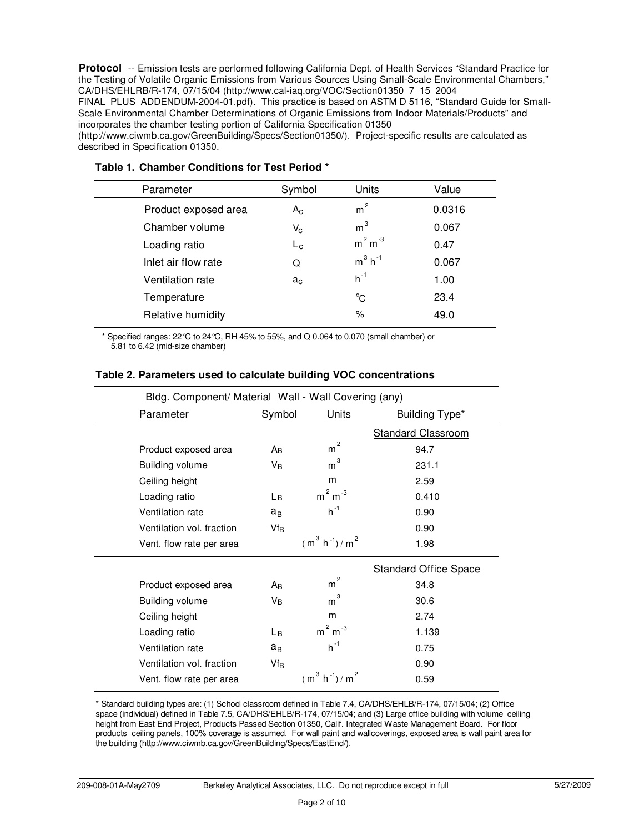Protocol -- Emission tests are performed following California Dept. of Health Services "Standard Practice for the Testing of Volatile Organic Emissions from Various Sources Using Small-Scale Environmental Chambers," CA/DHS/EHLRB/R-174, 07/15/04 (http://www.cal-iaq.org/VOC/Section01350\_7\_15\_2004\_

FINAL PLUS ADDENDUM-2004-01.pdf). This practice is based on ASTM D 5116, "Standard Guide for Small-Scale Environmental Chamber Determinations of Organic Emissions from Indoor Materials/Products" and incorporates the chamber testing portion of California Specification 01350

(http://www.ciwmb.ca.gov/GreenBuilding/Specs/Section01350/). Project-specific results are calculated as described in Specification 01350.

| Parameter            | Symbol         | Units                 | Value  |  |
|----------------------|----------------|-----------------------|--------|--|
| Product exposed area | $A_{\rm C}$    | m <sup>2</sup>        | 0.0316 |  |
| Chamber volume       | $V_{\rm C}$    | m <sup>3</sup>        | 0.067  |  |
| Loading ratio        | $L_{\rm c}$    | $m2 m-3$              | 0.47   |  |
| Inlet air flow rate  | Q              | $m^3$ h <sup>-1</sup> | 0.067  |  |
| Ventilation rate     | a <sub>c</sub> | $h^{-1}$              | 1.00   |  |
| Temperature          |                | °C                    | 23.4   |  |
| Relative humidity    |                | $\%$                  | 49.0   |  |
|                      |                |                       |        |  |

#### **Table 1. Chamber Conditions for Test Period \***

\* Specified ranges: 22°C to 24°C, RH 45% to 55%, and Q 0.064 to 0.070 (small chamber) or 5.81 to 6.42 (mid-size chamber)

| Bldg. Component/ Material Wall - Wall Covering (any) |                 |                     |                              |
|------------------------------------------------------|-----------------|---------------------|------------------------------|
| Parameter                                            | Symbol          | Units               | Building Type*               |
|                                                      |                 |                     | <b>Standard Classroom</b>    |
| Product exposed area                                 | Aв              | $\overline{c}$<br>m | 94.7                         |
| <b>Building volume</b>                               | VB              | $\mathsf{m}^3$      | 231.1                        |
| Ceiling height                                       |                 | m                   | 2.59                         |
| Loading ratio                                        | Lв              | $m2 m-3$            | 0.410                        |
| Ventilation rate                                     | $a_B$           | $h^{-1}$            | 0.90                         |
| Ventilation vol. fraction                            | Vf <sub>B</sub> |                     | 0.90                         |
| Vent. flow rate per area                             |                 | $(m^3 h^{-1})/m^2$  | 1.98                         |
|                                                      |                 |                     | <b>Standard Office Space</b> |
| Product exposed area                                 | Aв              | $\overline{c}$<br>m | 34.8                         |
| <b>Building volume</b>                               | Vв              | 3<br>m              | 30.6                         |
| Ceiling height                                       |                 | m                   | 2.74                         |
| Loading ratio                                        | Lв              | $m2 m-3$            | 1.139                        |
| Ventilation rate                                     | $a_B$           | $h^{-1}$            | 0.75                         |
| Ventilation vol. fraction                            | $Vf_B$          |                     | 0.90                         |
| Vent. flow rate per area                             |                 | $(m^3 h^{-1})/m^2$  | 0.59                         |

#### **Table 2. Parameters used to calculate building VOC concentrations**

\* Standard building types are: (1) School classroom defined in Table 7.4, CA/DHS/EHLB/R-174, 07/15/04; (2) Office space (individual) defined in Table 7.5, CA/DHS/EHLB/R-174, 07/15/04; and (3) Large office building with volume ceiling height from East End Project, Products Passed Section 01350, Calif. Integrated Waste Management Board. For floor products ceiling panels, 100% coverage is assumed. For wall paint and wallcoverings, exposed area is wall paint area for the building (http://www.ciwmb.ca.gov/GreenBuilding/Specs/EastEnd/).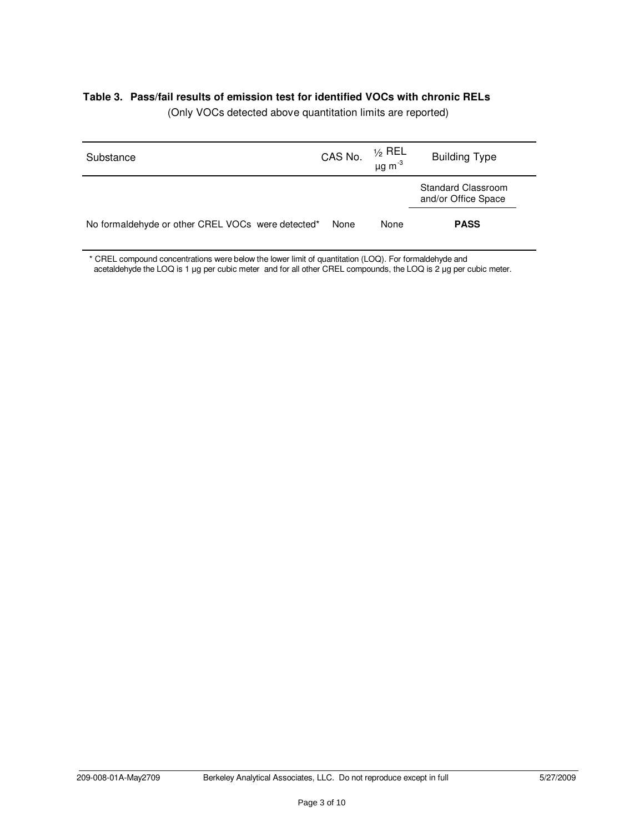#### **Table 3. Pass/fail results of emission test for identified VOCs with chronic RELs**

| Substance                                         | CAS No. | ½ REL<br>μg m <sup>-3</sup> | <b>Building Type</b>                             |
|---------------------------------------------------|---------|-----------------------------|--------------------------------------------------|
|                                                   |         |                             | <b>Standard Classroom</b><br>and/or Office Space |
| No formaldehyde or other CREL VOCs were detected* | None    | None                        | <b>PASS</b>                                      |

(Only VOCs detected above quantitation limits are reported)

\* CREL compound concentrations were below the lower limit of quantitation (LOQ). For formaldehyde and acetaldehyde the LOQ is 1 µg per cubic meter and for all other CREL compounds, the LOQ is 2 µg per cubic meter.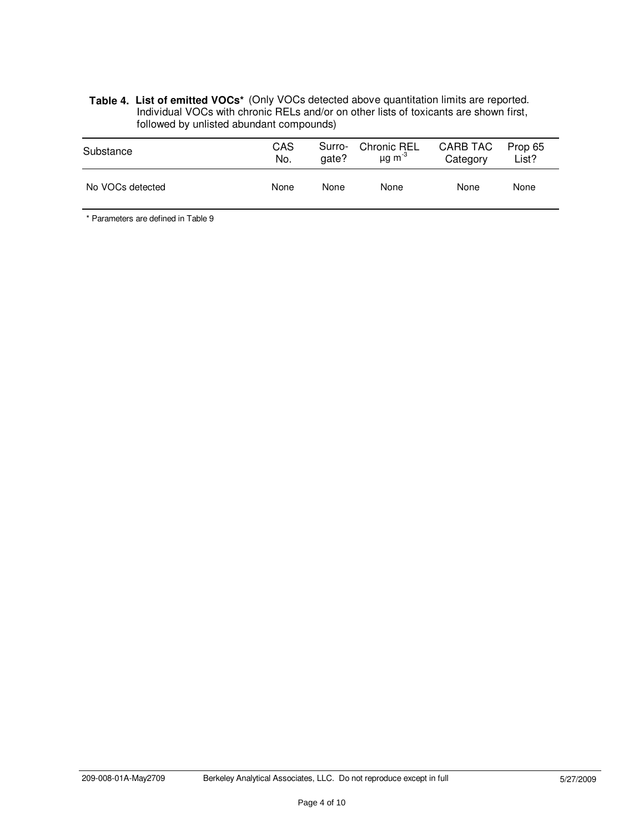#### List of emitted VOCs<sup>\*</sup> (Only VOCs detected above quantitation limits are reported. Individual VOCs with chronic RELs and/or on other lists of toxicants are shown first, followed by unlisted abundant compounds) **Table 4. List of emitted VOCs\***

| Substance        | <b>CAS</b> | Surro- | <b>Chronic REL</b>      | <b>CARB TAC</b> | Prop 65 |
|------------------|------------|--------|-------------------------|-----------------|---------|
|                  | No.        | gate?  | $\mu$ g m <sup>-3</sup> | Category        | List?   |
| No VOCs detected | None       | None   | None                    | None            | None    |

\* Parameters are defined in Table 9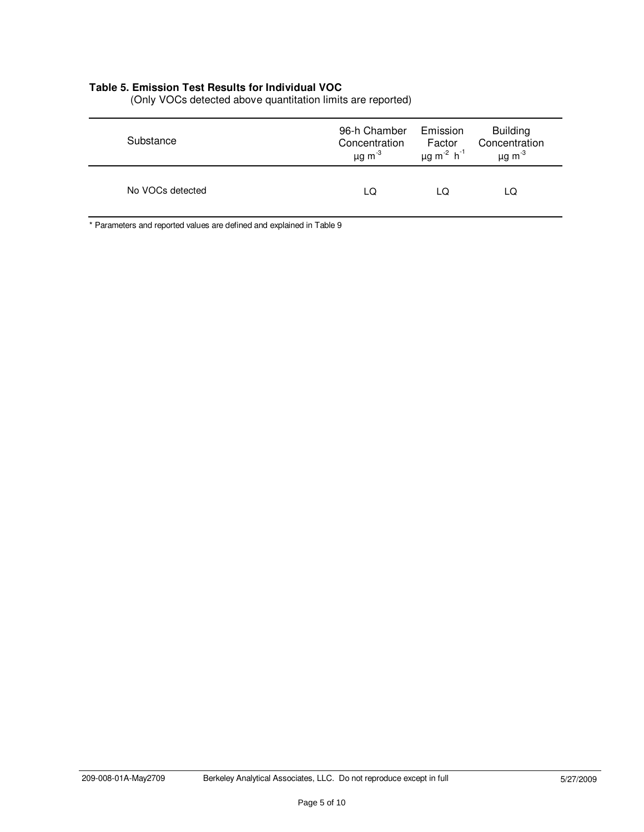#### **Table 5. Emission Test Results for Individual VOC**

| Substance        | 96-h Chamber            | Emission                                | <b>Building</b>         |
|------------------|-------------------------|-----------------------------------------|-------------------------|
|                  | Concentration           | Factor                                  | Concentration           |
|                  | $\mu$ g m <sup>-3</sup> | $\mu$ g m <sup>-2</sup> h <sup>-1</sup> | $\mu$ g m <sup>-3</sup> |
| No VOCs detected | LQ                      | LQ                                      | LQ                      |

(Only VOCs detected above quantitation limits are reported)

\* Parameters and reported values are defined and explained in Table 9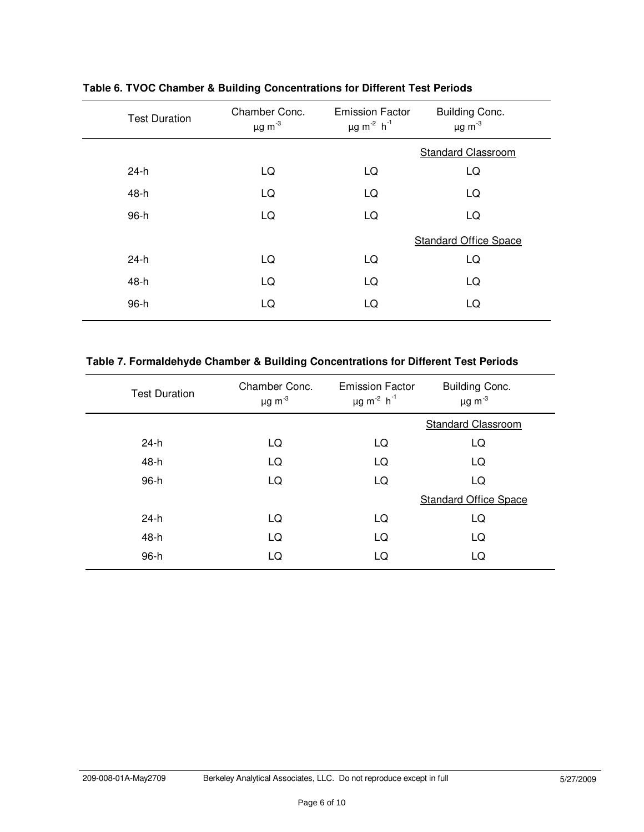| <b>Test Duration</b> | Chamber Conc.<br>$\mu$ g m <sup>-3</sup> | <b>Emission Factor</b><br>$\mu$ g m <sup>-2</sup> h <sup>-1</sup> | <b>Building Conc.</b><br>$\mu$ g m <sup>-3</sup> |
|----------------------|------------------------------------------|-------------------------------------------------------------------|--------------------------------------------------|
|                      |                                          |                                                                   | <b>Standard Classroom</b>                        |
| $24-h$               | LQ                                       | LQ                                                                | LQ                                               |
| 48-h                 | LQ                                       | LQ                                                                | LQ                                               |
| 96-h                 | LQ                                       | LQ                                                                | LQ                                               |
|                      |                                          |                                                                   | <b>Standard Office Space</b>                     |
| $24-h$               | LQ                                       | LQ                                                                | LQ                                               |
| 48-h                 | LQ                                       | LQ                                                                | LQ                                               |
| 96-h                 | LQ                                       | LQ                                                                | LQ                                               |

**Table 6. TVOC Chamber & Building Concentrations for Different Test Periods**

# **Table 7. Formaldehyde Chamber & Building Concentrations for Different Test Periods**

| <b>Test Duration</b> | Chamber Conc.<br>$\mu$ g m $^{-3}$ | <b>Emission Factor</b><br>$\mu$ g m <sup>-2</sup> h <sup>-1</sup> | Building Conc.<br>$\mu$ g m <sup>-3</sup> |
|----------------------|------------------------------------|-------------------------------------------------------------------|-------------------------------------------|
|                      |                                    |                                                                   | <b>Standard Classroom</b>                 |
| 24-h                 | LQ                                 | LQ                                                                | LQ                                        |
| 48-h                 | LQ                                 | LQ                                                                | LQ                                        |
| 96-h                 | LQ                                 | LQ                                                                | LQ                                        |
|                      |                                    |                                                                   | <b>Standard Office Space</b>              |
| $24-h$               | LQ                                 | LQ                                                                | LQ                                        |
| 48-h                 | LQ                                 | LQ                                                                | LQ                                        |
| 96-h                 | LQ                                 | LQ                                                                | LQ                                        |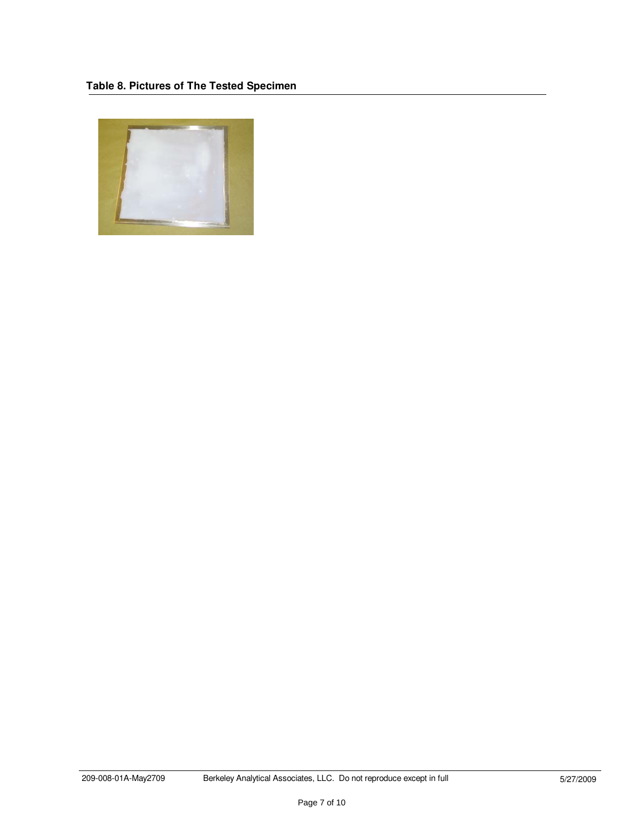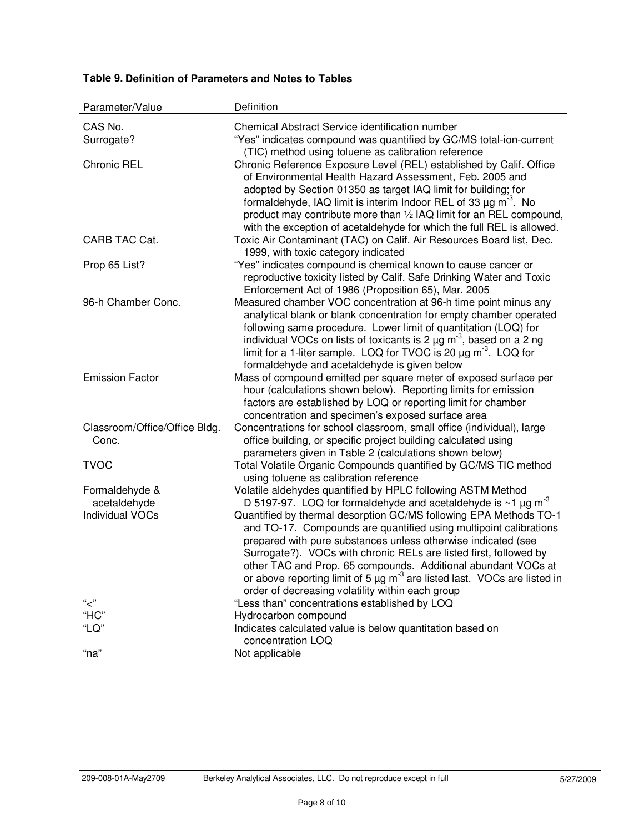| Parameter/Value                        | Definition                                                                                                                                                |
|----------------------------------------|-----------------------------------------------------------------------------------------------------------------------------------------------------------|
| CAS No.                                | Chemical Abstract Service identification number                                                                                                           |
| Surrogate?                             | "Yes" indicates compound was quantified by GC/MS total-ion-current                                                                                        |
|                                        | (TIC) method using toluene as calibration reference                                                                                                       |
| <b>Chronic REL</b>                     | Chronic Reference Exposure Level (REL) established by Calif. Office                                                                                       |
|                                        | of Environmental Health Hazard Assessment, Feb. 2005 and                                                                                                  |
|                                        | adopted by Section 01350 as target IAQ limit for building; for<br>formaldehyde, IAQ limit is interim Indoor REL of 33 $\mu$ g m <sup>-3</sup> . No        |
|                                        | product may contribute more than 1/2 IAQ limit for an REL compound,                                                                                       |
|                                        | with the exception of acetaldehyde for which the full REL is allowed.                                                                                     |
| CARB TAC Cat.                          | Toxic Air Contaminant (TAC) on Calif. Air Resources Board list, Dec.                                                                                      |
|                                        | 1999, with toxic category indicated                                                                                                                       |
| Prop 65 List?                          | "Yes" indicates compound is chemical known to cause cancer or                                                                                             |
|                                        | reproductive toxicity listed by Calif. Safe Drinking Water and Toxic                                                                                      |
|                                        | Enforcement Act of 1986 (Proposition 65), Mar. 2005                                                                                                       |
| 96-h Chamber Conc.                     | Measured chamber VOC concentration at 96-h time point minus any<br>analytical blank or blank concentration for empty chamber operated                     |
|                                        | following same procedure. Lower limit of quantitation (LOQ) for                                                                                           |
|                                        | individual VOCs on lists of toxicants is 2 $\mu$ g m <sup>-3</sup> , based on a 2 ng                                                                      |
|                                        | limit for a 1-liter sample. LOQ for TVOC is 20 $\mu$ g m <sup>-3</sup> . LOQ for                                                                          |
|                                        | formaldehyde and acetaldehyde is given below                                                                                                              |
| <b>Emission Factor</b>                 | Mass of compound emitted per square meter of exposed surface per                                                                                          |
|                                        | hour (calculations shown below). Reporting limits for emission                                                                                            |
|                                        | factors are established by LOQ or reporting limit for chamber<br>concentration and specimen's exposed surface area                                        |
| Classroom/Office/Office Bldg.          | Concentrations for school classroom, small office (individual), large                                                                                     |
| Conc.                                  | office building, or specific project building calculated using                                                                                            |
|                                        | parameters given in Table 2 (calculations shown below)                                                                                                    |
| <b>TVOC</b>                            | Total Volatile Organic Compounds quantified by GC/MS TIC method                                                                                           |
|                                        | using toluene as calibration reference                                                                                                                    |
| Formaldehyde &                         | Volatile aldehydes quantified by HPLC following ASTM Method                                                                                               |
| acetaldehyde<br><b>Individual VOCs</b> | D 5197-97. LOQ for formaldehyde and acetaldehyde is $\sim$ 1 $\mu$ g m <sup>-3</sup><br>Quantified by thermal desorption GC/MS following EPA Methods TO-1 |
|                                        | and TO-17. Compounds are quantified using multipoint calibrations                                                                                         |
|                                        | prepared with pure substances unless otherwise indicated (see                                                                                             |
|                                        | Surrogate?). VOCs with chronic RELs are listed first, followed by                                                                                         |
|                                        | other TAC and Prop. 65 compounds. Additional abundant VOCs at                                                                                             |
|                                        | or above reporting limit of 5 $\mu$ g m <sup>-3</sup> are listed last. VOCs are listed in                                                                 |
|                                        | order of decreasing volatility within each group                                                                                                          |
| "ح"<br>"HC"                            | "Less than" concentrations established by LOQ<br>Hydrocarbon compound                                                                                     |
| "LQ"                                   | Indicates calculated value is below quantitation based on                                                                                                 |
|                                        | concentration LOQ                                                                                                                                         |
| "na"                                   | Not applicable                                                                                                                                            |

# **Table 9. Definition of Parameters and Notes to Tables**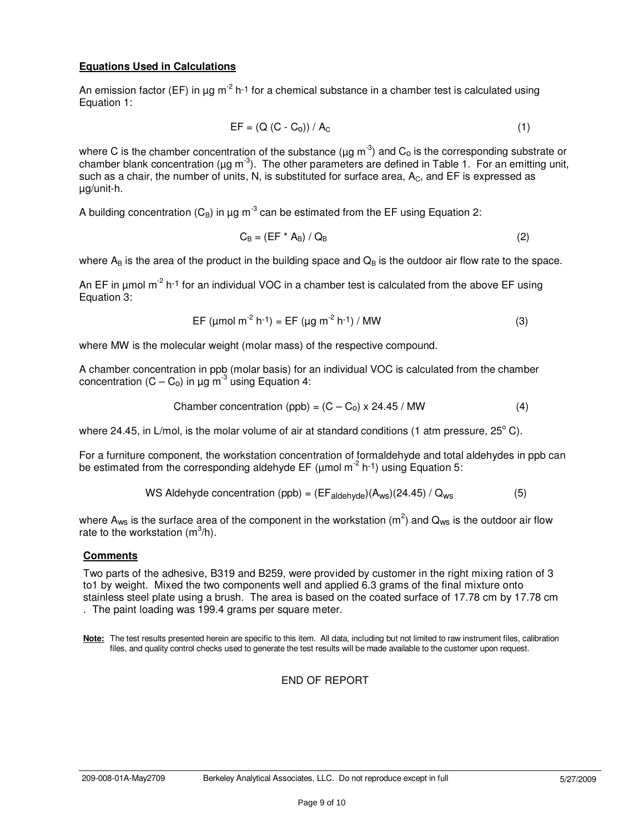#### **Equations Used in Calculations**

An emission factor (EF) in  $\mu$ g m<sup>-2</sup> h<sup>-1</sup> for a chemical substance in a chamber test is calculated using Equation 1:

$$
EF = (Q (C - Co)) / AC
$$
 (1)

where C is the chamber concentration of the substance ( $\mu$ g m<sup>-3</sup>) and C<sub>o</sub> is the corresponding substrate or chamber blank concentration ( $\mu$ g m<sup>-3</sup>). The other parameters are defined in Table 1. For an emitting unit, such as a chair, the number of units, N, is substituted for surface area,  $A<sub>C</sub>$ , and EF is expressed as µg/unit-h.

A building concentration ( $C_B$ ) in µg m<sup>-3</sup> can be estimated from the EF using Equation 2:

$$
C_{\rm B} = (EF^* A_{\rm B}) / Q_{\rm B}
$$
 (2)

where  $A_B$  is the area of the product in the building space and  $Q_B$  is the outdoor air flow rate to the space.

An EF in  $\mu$ mol m<sup>-2</sup> h<sup>-1</sup> for an individual VOC in a chamber test is calculated from the above EF using Equation 3:

$$
EF (µmol m-2 h-1) = EF (µg m-2 h-1) / MW
$$
 (3)

where MW is the molecular weight (molar mass) of the respective compound.

A chamber concentration in ppb (molar basis) for an individual VOC is calculated from the chamber concentration  $(C - C_0)$  in  $\mu$ g m<sup>-3</sup> using Equation 4:

$$
Chamber concentration (ppb) = (C - C0) \times 24.45 / MW
$$
 (4)

where 24.45, in L/mol, is the molar volume of air at standard conditions (1 atm pressure,  $25^{\circ}$  C).

For a furniture component, the workstation concentration of formaldehyde and total aldehydes in ppb can be estimated from the corresponding aldehyde EF ( $\mu$ mol m<sup>-2</sup> h<sup>-1</sup>) using Equation 5:

WS Aldehyde concentration (ppb) = 
$$
(EF_{aldehyde})(A_{ws})(24.45) / Q_{ws}
$$
 (5)

where A<sub>ws</sub> is the surface area of the component in the workstation (m<sup>2</sup>) and Q<sub>ws</sub> is the outdoor air flow rate to the workstation  $(m^3/h)$ .

#### **Comments**

Two parts of the adhesive, B319 and B259, were provided by customer in the right mixing ration of 3 to1 by weight. Mixed the two components well and applied 6.3 grams of the final mixture onto stainless steel plate using a brush. The area is based on the coated surface of 17.78 cm by 17.78 cm . The paint loading was 199.4 grams per square meter.

**Note:** The test results presented herein are specific to this item. All data, including but not limited to raw instrument files, calibration files, and quality control checks used to generate the test results will be made available to the customer upon request.

#### END OF REPORT